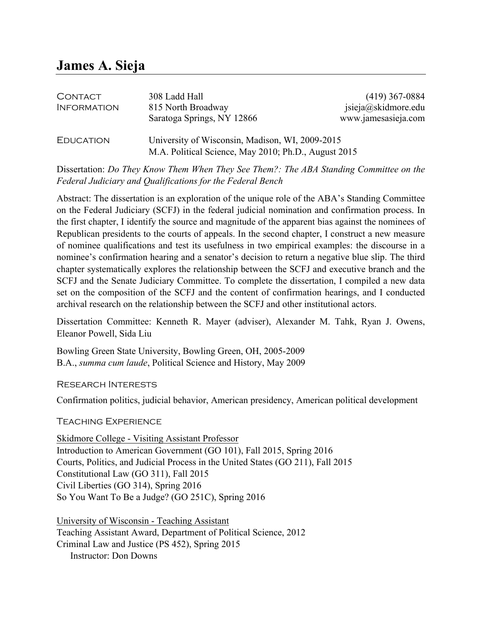# **James A. Sieja**

| <b>CONTACT</b>     | 308 Ladd Hall                                                                                           | $(419)$ 367-0884    |
|--------------------|---------------------------------------------------------------------------------------------------------|---------------------|
| <b>INFORMATION</b> | 815 North Broadway                                                                                      | jsieja@skidmore.edu |
|                    | Saratoga Springs, NY 12866                                                                              | www.jamesasieja.com |
| <b>EDUCATION</b>   | University of Wisconsin, Madison, WI, 2009-2015<br>M.A. Political Science, May 2010; Ph.D., August 2015 |                     |

Dissertation: *Do They Know Them When They See Them?: The ABA Standing Committee on the Federal Judiciary and Qualifications for the Federal Bench*

Abstract: The dissertation is an exploration of the unique role of the ABA's Standing Committee on the Federal Judiciary (SCFJ) in the federal judicial nomination and confirmation process. In the first chapter, I identify the source and magnitude of the apparent bias against the nominees of Republican presidents to the courts of appeals. In the second chapter, I construct a new measure of nominee qualifications and test its usefulness in two empirical examples: the discourse in a nominee's confirmation hearing and a senator's decision to return a negative blue slip. The third chapter systematically explores the relationship between the SCFJ and executive branch and the SCFJ and the Senate Judiciary Committee. To complete the dissertation, I compiled a new data set on the composition of the SCFJ and the content of confirmation hearings, and I conducted archival research on the relationship between the SCFJ and other institutional actors.

Dissertation Committee: Kenneth R. Mayer (adviser), Alexander M. Tahk, Ryan J. Owens, Eleanor Powell, Sida Liu

Bowling Green State University, Bowling Green, OH, 2005-2009 B.A., *summa cum laude*, Political Science and History, May 2009

Research Interests

Confirmation politics, judicial behavior, American presidency, American political development

Teaching Experience

Skidmore College - Visiting Assistant Professor Introduction to American Government (GO 101), Fall 2015, Spring 2016 Courts, Politics, and Judicial Process in the United States (GO 211), Fall 2015 Constitutional Law (GO 311), Fall 2015 Civil Liberties (GO 314), Spring 2016 So You Want To Be a Judge? (GO 251C), Spring 2016

University of Wisconsin - Teaching Assistant Teaching Assistant Award, Department of Political Science, 2012 Criminal Law and Justice (PS 452), Spring 2015 Instructor: Don Downs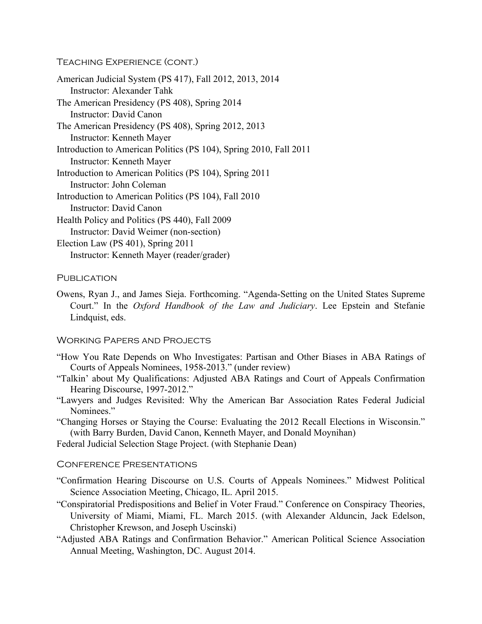## Teaching Experience (cont.)

American Judicial System (PS 417), Fall 2012, 2013, 2014 Instructor: Alexander Tahk The American Presidency (PS 408), Spring 2014 Instructor: David Canon The American Presidency (PS 408), Spring 2012, 2013 Instructor: Kenneth Mayer Introduction to American Politics (PS 104), Spring 2010, Fall 2011 Instructor: Kenneth Mayer Introduction to American Politics (PS 104), Spring 2011 Instructor: John Coleman Introduction to American Politics (PS 104), Fall 2010 Instructor: David Canon Health Policy and Politics (PS 440), Fall 2009 Instructor: David Weimer (non-section) Election Law (PS 401), Spring 2011 Instructor: Kenneth Mayer (reader/grader)

#### **PUBLICATION**

Owens, Ryan J., and James Sieja. Forthcoming. "Agenda-Setting on the United States Supreme Court." In the *Oxford Handbook of the Law and Judiciary*. Lee Epstein and Stefanie Lindquist, eds.

#### Working Papers and Projects

- "How You Rate Depends on Who Investigates: Partisan and Other Biases in ABA Ratings of Courts of Appeals Nominees, 1958-2013." (under review)
- "Talkin' about My Qualifications: Adjusted ABA Ratings and Court of Appeals Confirmation Hearing Discourse, 1997-2012."
- "Lawyers and Judges Revisited: Why the American Bar Association Rates Federal Judicial Nominees."
- "Changing Horses or Staying the Course: Evaluating the 2012 Recall Elections in Wisconsin." (with Barry Burden, David Canon, Kenneth Mayer, and Donald Moynihan)

Federal Judicial Selection Stage Project. (with Stephanie Dean)

#### Conference Presentations

- "Confirmation Hearing Discourse on U.S. Courts of Appeals Nominees." Midwest Political Science Association Meeting, Chicago, IL. April 2015.
- "Conspiratorial Predispositions and Belief in Voter Fraud." Conference on Conspiracy Theories, University of Miami, Miami, FL. March 2015. (with Alexander Alduncin, Jack Edelson, Christopher Krewson, and Joseph Uscinski)
- "Adjusted ABA Ratings and Confirmation Behavior." American Political Science Association Annual Meeting, Washington, DC. August 2014.